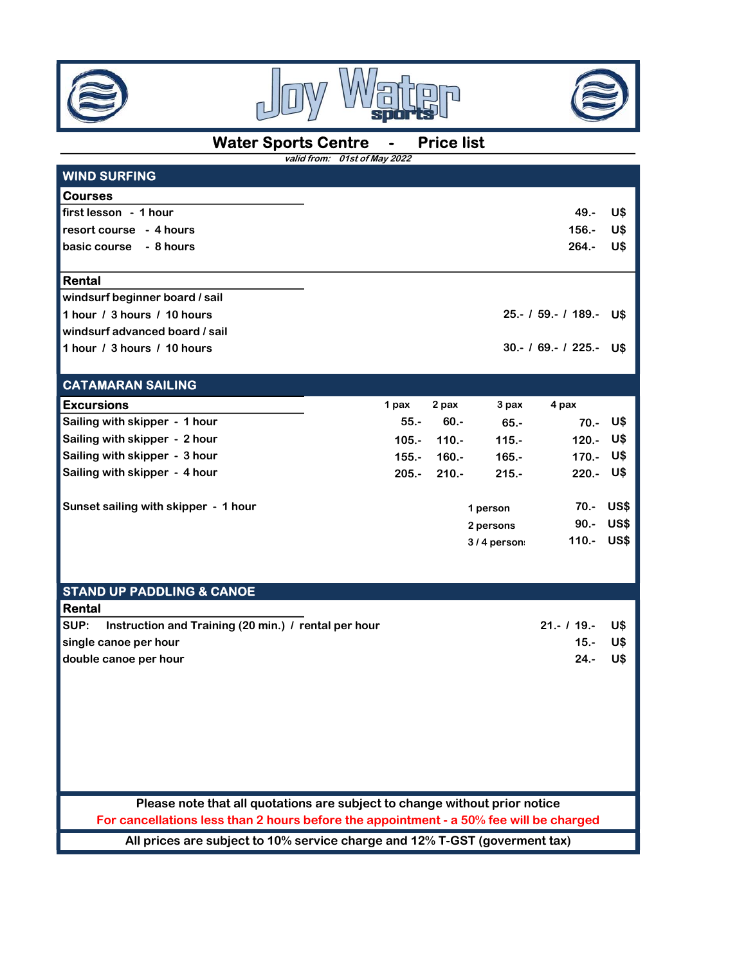





## Water Sports Centre - Price list

|                                | valid from: 01st of May 2022 |       |           |                         |                 |
|--------------------------------|------------------------------|-------|-----------|-------------------------|-----------------|
| <b>WIND SURFING</b>            |                              |       |           |                         |                 |
| <b>Courses</b>                 |                              |       |           |                         |                 |
| first lesson - 1 hour          |                              |       |           | $49. -$                 | U\$             |
| resort course - 4 hours        |                              |       |           | $156. -$                | U\$             |
| basic course - 8 hours         |                              |       |           | $264 -$                 | U\$             |
| Rental                         |                              |       |           |                         |                 |
| windsurf beginner board / sail |                              |       |           |                         |                 |
| 1 hour / 3 hours / 10 hours    |                              |       |           | 25.- / 59.- / 189.- U\$ |                 |
| windsurf advanced board / sail |                              |       |           |                         |                 |
| 1 hour / 3 hours / 10 hours    |                              |       |           | $30 - 169 - 1225 -$     | U\$             |
| <b>CATAMARAN SAILING</b>       |                              |       |           |                         |                 |
| <b>Excursions</b>              | 1 pax                        | 2 pax | 3 pax     | 4 pax                   |                 |
| Sailing with skinner - 1 hour  | 55.                          | 60 -  | <b>CE</b> | 70                      | 11 <sup>4</sup> |

| $55. -$ | $60 -$  | $65 -$   | 70.- U\$                              |  |
|---------|---------|----------|---------------------------------------|--|
| 105.-   | $110.-$ | $115. -$ | 120.- U\$                             |  |
| $155 -$ | 160.-   | $165 -$  | 170.- U\$                             |  |
| $205.-$ | $210.-$ | $215 -$  | $220 - 0$ \$                          |  |
|         |         |          | 70.- US\$                             |  |
|         |         |          | 90.- US\$                             |  |
|         |         |          | 110.- US\$                            |  |
|         |         |          | 1 person<br>2 persons<br>$3/4$ person |  |

#### STAND UP PADDLING & CANOE **Rental**

| I I voltual                                                   |                 |  |
|---------------------------------------------------------------|-----------------|--|
| ISUP:<br>Instruction and Training (20 min.) / rental per hour | $21 - 119 - 19$ |  |
| single canoe per hour                                         | 15.- U\$        |  |
| double canoe per hour                                         | 24.- U\$        |  |

Please note that all quotations are subject to change without prior notice

For cancellations less than 2 hours before the appointment - a 50% fee will be charged

All prices are subject to 10% service charge and 12% T-GST (goverment tax)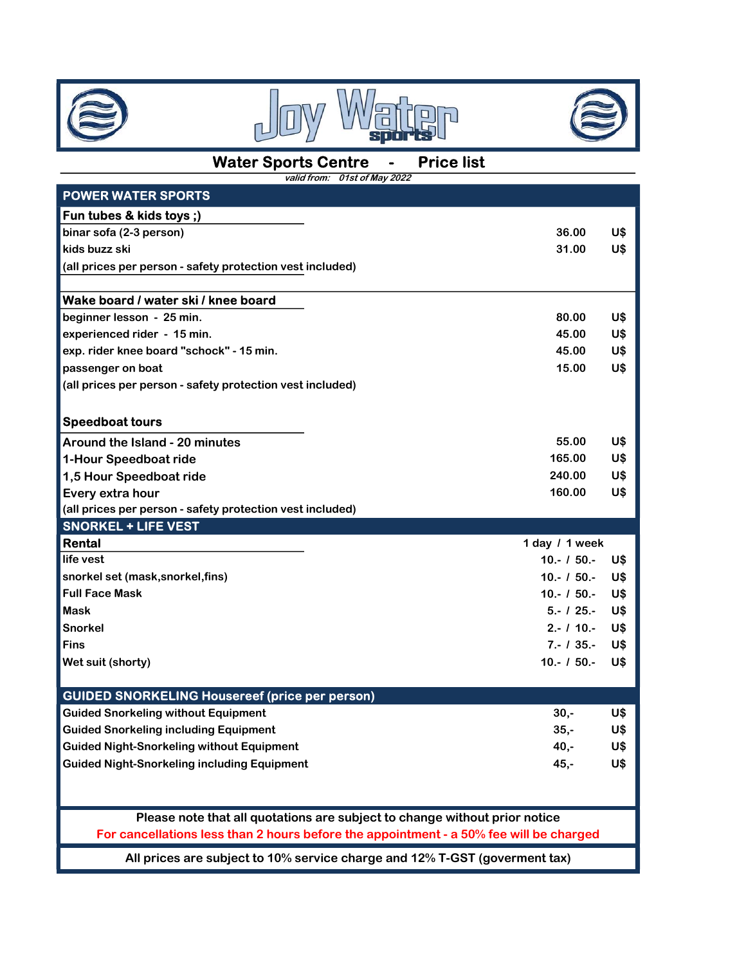





# Water Sports Centre - Price list

| valid from: 01st of May 2022                                                           |                |     |
|----------------------------------------------------------------------------------------|----------------|-----|
| <b>POWER WATER SPORTS</b>                                                              |                |     |
| Fun tubes & kids toys;)                                                                |                |     |
| binar sofa (2-3 person)                                                                | 36.00          | U\$ |
| kids buzz ski                                                                          | 31.00          | U\$ |
| (all prices per person - safety protection vest included)                              |                |     |
|                                                                                        |                |     |
| Wake board / water ski / knee board                                                    |                |     |
| beginner lesson - 25 min.                                                              | 80.00          | U\$ |
| experienced rider - 15 min.                                                            | 45.00          | U\$ |
| exp. rider knee board "schock" - 15 min.                                               | 45.00          | U\$ |
| passenger on boat                                                                      | 15.00          | U\$ |
| (all prices per person - safety protection vest included)                              |                |     |
|                                                                                        |                |     |
| <b>Speedboat tours</b>                                                                 |                |     |
| Around the Island - 20 minutes                                                         | 55.00          | U\$ |
| 1-Hour Speedboat ride                                                                  | 165.00         | U\$ |
| 1,5 Hour Speedboat ride                                                                | 240.00         | U\$ |
| Every extra hour                                                                       | 160.00         | U\$ |
| (all prices per person - safety protection vest included)                              |                |     |
| <b>SNORKEL + LIFE VEST</b>                                                             |                |     |
| Rental                                                                                 | 1 day / 1 week |     |
| life vest                                                                              | $10 - 150 -$   | U\$ |
| snorkel set (mask, snorkel, fins)                                                      | $10 - 150 -$   | U\$ |
| <b>Full Face Mask</b>                                                                  | $10 - 150 -$   | U\$ |
| Mask                                                                                   | $5 - 125 -$    | U\$ |
| <b>Snorkel</b>                                                                         | $2 - 110 -$    | U\$ |
| <b>Fins</b>                                                                            | $7 - 135 -$    | U\$ |
| Wet suit (shorty)                                                                      | $10 - 150 -$   | U\$ |
|                                                                                        |                |     |
| <b>GUIDED SNORKELING Housereef (price per person)</b>                                  |                |     |
| <b>Guided Snorkeling without Equipment</b>                                             | $30,-$         | U\$ |
| <b>Guided Snorkeling including Equipment</b>                                           | $35,-$         | U\$ |
| <b>Guided Night-Snorkeling without Equipment</b>                                       | 40,-           | U\$ |
| <b>Guided Night-Snorkeling including Equipment</b>                                     | $45, -$        | U\$ |
|                                                                                        |                |     |
|                                                                                        |                |     |
|                                                                                        |                |     |
| Please note that all quotations are subject to change without prior notice             |                |     |
| For cancellations less than 2 hours before the appointment - a 50% fee will be charged |                |     |

All prices are subject to 10% service charge and 12% T-GST (goverment tax)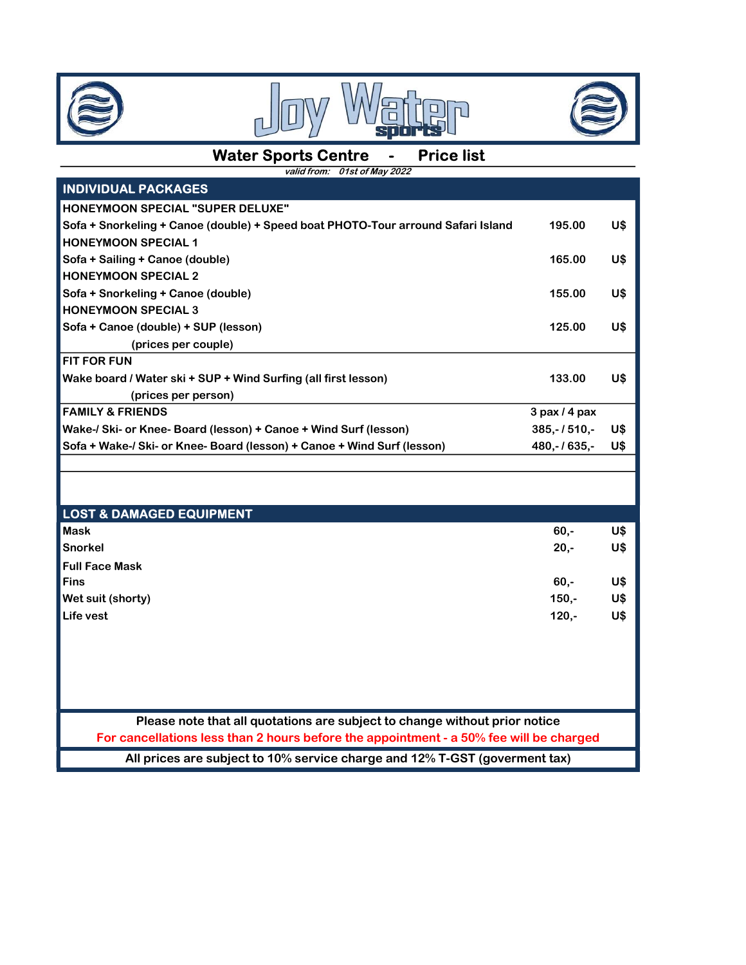





#### Water Sports Centre - Price list

valid from: 01st of May 2022

| <b>INDIVIDUAL PACKAGES</b>                                                             |                   |     |  |  |  |  |
|----------------------------------------------------------------------------------------|-------------------|-----|--|--|--|--|
| <b>HONEYMOON SPECIAL "SUPER DELUXE"</b>                                                |                   |     |  |  |  |  |
| Sofa + Snorkeling + Canoe (double) + Speed boat PHOTO-Tour arround Safari Island       | 195.00            | U\$ |  |  |  |  |
| <b>HONEYMOON SPECIAL 1</b>                                                             |                   |     |  |  |  |  |
| Sofa + Sailing + Canoe (double)                                                        | 165.00            | U\$ |  |  |  |  |
| <b>HONEYMOON SPECIAL 2</b>                                                             |                   |     |  |  |  |  |
| Sofa + Snorkeling + Canoe (double)                                                     | 155.00            | U\$ |  |  |  |  |
| <b>HONEYMOON SPECIAL 3</b>                                                             |                   |     |  |  |  |  |
| Sofa + Canoe (double) + SUP (lesson)                                                   | 125.00            | U\$ |  |  |  |  |
| (prices per couple)                                                                    |                   |     |  |  |  |  |
| <b>FIT FOR FUN</b>                                                                     |                   |     |  |  |  |  |
| Wake board / Water ski + SUP + Wind Surfing (all first lesson)                         | 133.00            | U\$ |  |  |  |  |
| (prices per person)                                                                    |                   |     |  |  |  |  |
| <b>FAMILY &amp; FRIENDS</b>                                                            | $3$ pax $/$ 4 pax |     |  |  |  |  |
| Wake-/ Ski- or Knee- Board (lesson) + Canoe + Wind Surf (lesson)                       | $385,-/510,-$     | U\$ |  |  |  |  |
| Sofa + Wake-/ Ski- or Knee- Board (lesson) + Canoe + Wind Surf (lesson)                | 480,-1635,-       | U\$ |  |  |  |  |
|                                                                                        |                   |     |  |  |  |  |
|                                                                                        |                   |     |  |  |  |  |
| <b>LOST &amp; DAMAGED EQUIPMENT</b>                                                    |                   |     |  |  |  |  |
| <b>Mask</b>                                                                            | $60,-$            | U\$ |  |  |  |  |
| <b>Snorkel</b>                                                                         | $20,-$            | U\$ |  |  |  |  |
| <b>Full Face Mask</b>                                                                  |                   |     |  |  |  |  |
| <b>Fins</b>                                                                            | $60,-$            | U\$ |  |  |  |  |
| Wet suit (shorty)                                                                      | $150,-$           | U\$ |  |  |  |  |
| Life vest                                                                              | $120,-$           | U\$ |  |  |  |  |
|                                                                                        |                   |     |  |  |  |  |
|                                                                                        |                   |     |  |  |  |  |
|                                                                                        |                   |     |  |  |  |  |
|                                                                                        |                   |     |  |  |  |  |
|                                                                                        |                   |     |  |  |  |  |
| Please note that all quotations are subject to change without prior notice             |                   |     |  |  |  |  |
| For cancellations less than 2 hours before the appointment - a 50% fee will be charged |                   |     |  |  |  |  |
| All prices are subject to 10% service charge and 12% T-GST (goverment tax)             |                   |     |  |  |  |  |